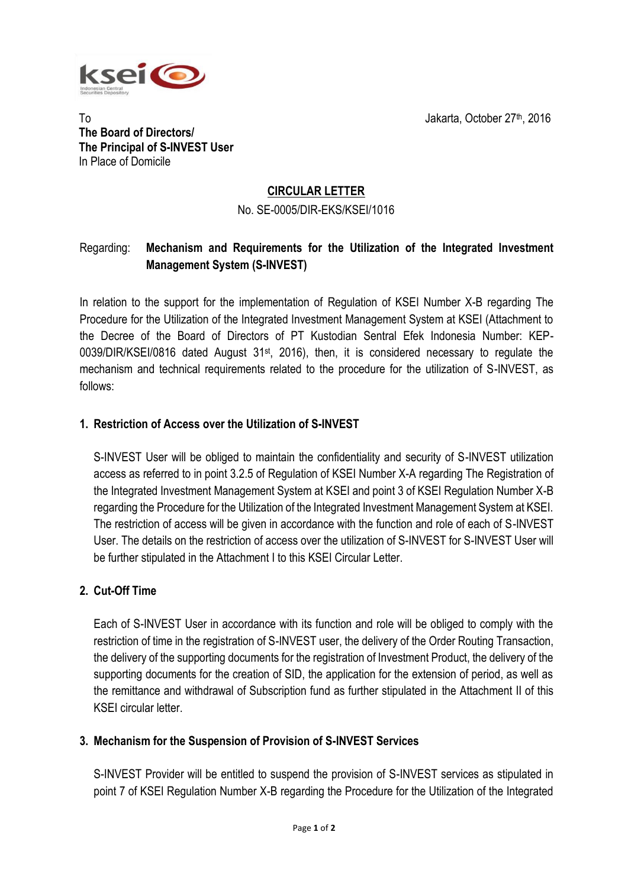

To Jakarta, October 27th, 2016 **The Board of Directors/ The Principal of S-INVEST User** In Place of Domicile

# **CIRCULAR LETTER**

## No. SE-0005/DIR-EKS/KSEI/1016

# Regarding: **Mechanism and Requirements for the Utilization of the Integrated Investment Management System (S-INVEST)**

In relation to the support for the implementation of Regulation of KSEI Number X-B regarding The Procedure for the Utilization of the Integrated Investment Management System at KSEI (Attachment to the Decree of the Board of Directors of PT Kustodian Sentral Efek Indonesia Number: KEP-0039/DIR/KSEI/0816 dated August 31<sup>st</sup>, 2016), then, it is considered necessary to regulate the mechanism and technical requirements related to the procedure for the utilization of S-INVEST, as follows:

# **1. Restriction of Access over the Utilization of S-INVEST**

S-INVEST User will be obliged to maintain the confidentiality and security of S-INVEST utilization access as referred to in point 3.2.5 of Regulation of KSEI Number X-A regarding The Registration of the Integrated Investment Management System at KSEI and point 3 of KSEI Regulation Number X-B regarding the Procedure for the Utilization of the Integrated Investment Management System at KSEI. The restriction of access will be given in accordance with the function and role of each of S-INVEST User. The details on the restriction of access over the utilization of S-INVEST for S-INVEST User will be further stipulated in the Attachment I to this KSEI Circular Letter.

# **2. Cut-Off Time**

Each of S-INVEST User in accordance with its function and role will be obliged to comply with the restriction of time in the registration of S-INVEST user, the delivery of the Order Routing Transaction, the delivery of the supporting documents for the registration of Investment Product, the delivery of the supporting documents for the creation of SID, the application for the extension of period, as well as the remittance and withdrawal of Subscription fund as further stipulated in the Attachment II of this KSEI circular letter.

# **3. Mechanism for the Suspension of Provision of S-INVEST Services**

S-INVEST Provider will be entitled to suspend the provision of S-INVEST services as stipulated in point 7 of KSEI Regulation Number X-B regarding the Procedure for the Utilization of the Integrated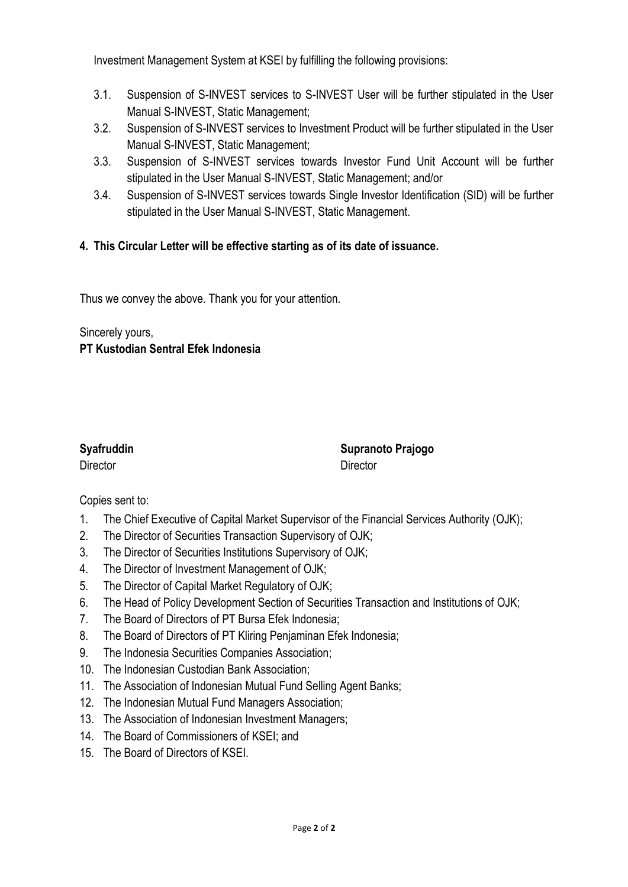Investment Management System at KSEI by fulfilling the following provisions:

- 3.1. Suspension of S-INVEST services to S-INVEST User will be further stipulated in the User Manual S-INVEST, Static Management;
- 3.2. Suspension of S-INVEST services to Investment Product will be further stipulated in the User Manual S-INVEST, Static Management;
- 3.3. Suspension of S-INVEST services towards Investor Fund Unit Account will be further stipulated in the User Manual S-INVEST, Static Management; and/or
- 3.4. Suspension of S-INVEST services towards Single Investor Identification (SID) will be further stipulated in the User Manual S-INVEST, Static Management.

# **4. This Circular Letter will be effective starting as of its date of issuance.**

Thus we convey the above. Thank you for your attention.

Sincerely yours, **PT Kustodian Sentral Efek Indonesia**

Director **Director** Director

**Syafruddin Supranoto Prajogo**

# Copies sent to:

- 1. The Chief Executive of Capital Market Supervisor of the Financial Services Authority (OJK);
- 2. The Director of Securities Transaction Supervisory of OJK;
- 3. The Director of Securities Institutions Supervisory of OJK;
- 4. The Director of Investment Management of OJK;
- 5. The Director of Capital Market Regulatory of OJK;
- 6. The Head of Policy Development Section of Securities Transaction and Institutions of OJK;
- 7. The Board of Directors of PT Bursa Efek Indonesia;
- 8. The Board of Directors of PT Kliring Penjaminan Efek Indonesia;
- 9. The Indonesia Securities Companies Association;
- 10. The Indonesian Custodian Bank Association;
- 11. The Association of Indonesian Mutual Fund Selling Agent Banks;
- 12. The Indonesian Mutual Fund Managers Association;
- 13. The Association of Indonesian Investment Managers;
- 14. The Board of Commissioners of KSEI; and
- 15. The Board of Directors of KSEI.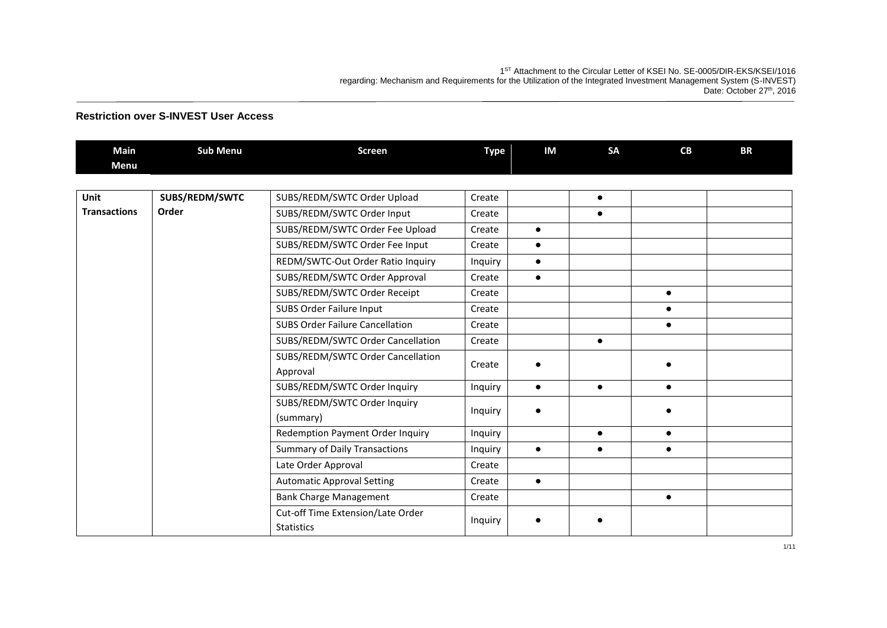1<sup>ST</sup> Attachment to the Circular Letter of KSEI No. SE-0005/DIR-EKS/KSEI/1016 regarding: Mechanism and Requirements for the Utilization of the Integrated Investment Management System (S-INVEST) Date: October 27<sup>th</sup>, 2016

| <b>Main</b>         | <b>Sub Menu</b> | <b>Screen</b>                                          | <b>Type</b> | IM        | <b>SA</b> | CB        | <b>BR</b> |
|---------------------|-----------------|--------------------------------------------------------|-------------|-----------|-----------|-----------|-----------|
| <b>Menu</b>         |                 |                                                        |             |           |           |           |           |
|                     |                 |                                                        |             |           |           |           |           |
| Unit                | SUBS/REDM/SWTC  | SUBS/REDM/SWTC Order Upload                            | Create      |           | $\bullet$ |           |           |
| <b>Transactions</b> | Order           | SUBS/REDM/SWTC Order Input                             | Create      |           | $\bullet$ |           |           |
|                     |                 | SUBS/REDM/SWTC Order Fee Upload                        | Create      | $\bullet$ |           |           |           |
|                     |                 | SUBS/REDM/SWTC Order Fee Input                         | Create      | $\bullet$ |           |           |           |
|                     |                 | REDM/SWTC-Out Order Ratio Inquiry                      | Inquiry     | $\bullet$ |           |           |           |
|                     |                 | SUBS/REDM/SWTC Order Approval                          | Create      | $\bullet$ |           |           |           |
|                     |                 | SUBS/REDM/SWTC Order Receipt                           | Create      |           |           | $\bullet$ |           |
|                     |                 | SUBS Order Failure Input                               | Create      |           |           | $\bullet$ |           |
|                     |                 | <b>SUBS Order Failure Cancellation</b>                 | Create      |           |           |           |           |
|                     |                 | SUBS/REDM/SWTC Order Cancellation                      | Create      |           | $\bullet$ |           |           |
|                     |                 | SUBS/REDM/SWTC Order Cancellation                      | Create      |           |           |           |           |
|                     |                 | Approval                                               |             |           |           |           |           |
|                     |                 | SUBS/REDM/SWTC Order Inquiry                           | Inquiry     | $\bullet$ | $\bullet$ | $\bullet$ |           |
|                     |                 | SUBS/REDM/SWTC Order Inquiry<br>(summary)              | Inquiry     |           |           |           |           |
|                     |                 | Redemption Payment Order Inquiry                       | Inquiry     |           | $\bullet$ | $\bullet$ |           |
|                     |                 | <b>Summary of Daily Transactions</b>                   | Inquiry     | $\bullet$ | $\bullet$ | $\bullet$ |           |
|                     |                 | Late Order Approval                                    | Create      |           |           |           |           |
|                     |                 | <b>Automatic Approval Setting</b>                      | Create      | $\bullet$ |           |           |           |
|                     |                 | <b>Bank Charge Management</b>                          | Create      |           |           | $\bullet$ |           |
|                     |                 | Cut-off Time Extension/Late Order<br><b>Statistics</b> | Inquiry     |           |           |           |           |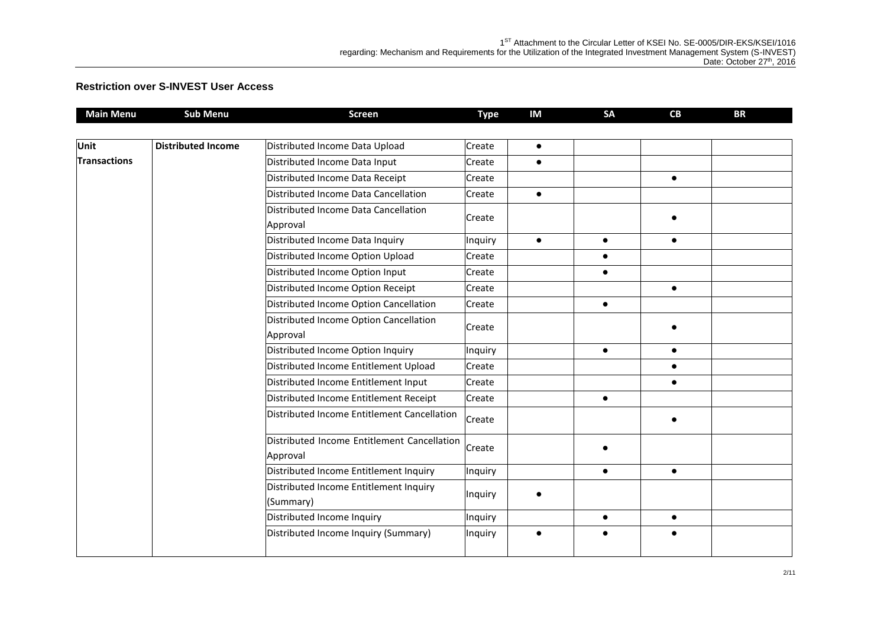| <b>Main Menu</b>    | <b>Sub Menu</b>                                    | <b>Screen</b>                                           | <b>Type</b> | <b>IM</b> | SA        | CB        | <b>BR</b> |
|---------------------|----------------------------------------------------|---------------------------------------------------------|-------------|-----------|-----------|-----------|-----------|
|                     |                                                    |                                                         |             |           |           |           |           |
| <b>Unit</b>         | <b>Distributed Income</b>                          | Distributed Income Data Upload                          | Create      | $\bullet$ |           |           |           |
| <b>Transactions</b> |                                                    | Distributed Income Data Input                           | Create      | $\bullet$ |           |           |           |
|                     |                                                    | Distributed Income Data Receipt                         | Create      |           |           | $\bullet$ |           |
|                     |                                                    | Distributed Income Data Cancellation                    | Create      | $\bullet$ |           |           |           |
|                     |                                                    | Distributed Income Data Cancellation<br>Approval        | Create      |           |           |           |           |
|                     |                                                    | Distributed Income Data Inquiry                         | Inquiry     | $\bullet$ | $\bullet$ | $\bullet$ |           |
|                     |                                                    | Distributed Income Option Upload                        | Create      |           | $\bullet$ |           |           |
|                     |                                                    | Distributed Income Option Input                         | Create      |           | $\bullet$ |           |           |
|                     |                                                    | Distributed Income Option Receipt                       | Create      |           |           | $\bullet$ |           |
|                     |                                                    | Distributed Income Option Cancellation                  | Create      |           | $\bullet$ |           |           |
|                     | Distributed Income Option Cancellation<br>Approval | Create                                                  |             |           | $\bullet$ |           |           |
|                     |                                                    | Distributed Income Option Inquiry                       | Inquiry     |           | $\bullet$ | $\bullet$ |           |
|                     |                                                    | Distributed Income Entitlement Upload                   | Create      |           |           | $\bullet$ |           |
|                     |                                                    | Distributed Income Entitlement Input                    | Create      |           |           | $\bullet$ |           |
|                     |                                                    | Distributed Income Entitlement Receipt                  | Create      |           | $\bullet$ |           |           |
|                     |                                                    | Distributed Income Entitlement Cancellation             | Create      |           |           | $\bullet$ |           |
|                     |                                                    | Distributed Income Entitlement Cancellation<br>Approval | Create      |           |           |           |           |
|                     |                                                    | Distributed Income Entitlement Inquiry                  | Inquiry     |           | $\bullet$ | $\bullet$ |           |
|                     |                                                    | Distributed Income Entitlement Inquiry<br>(Summary)     | Inquiry     |           |           |           |           |
|                     |                                                    | Distributed Income Inquiry                              | Inquiry     |           | $\bullet$ | $\bullet$ |           |
|                     |                                                    | Distributed Income Inquiry (Summary)                    | Inquiry     |           | $\bullet$ | $\bullet$ |           |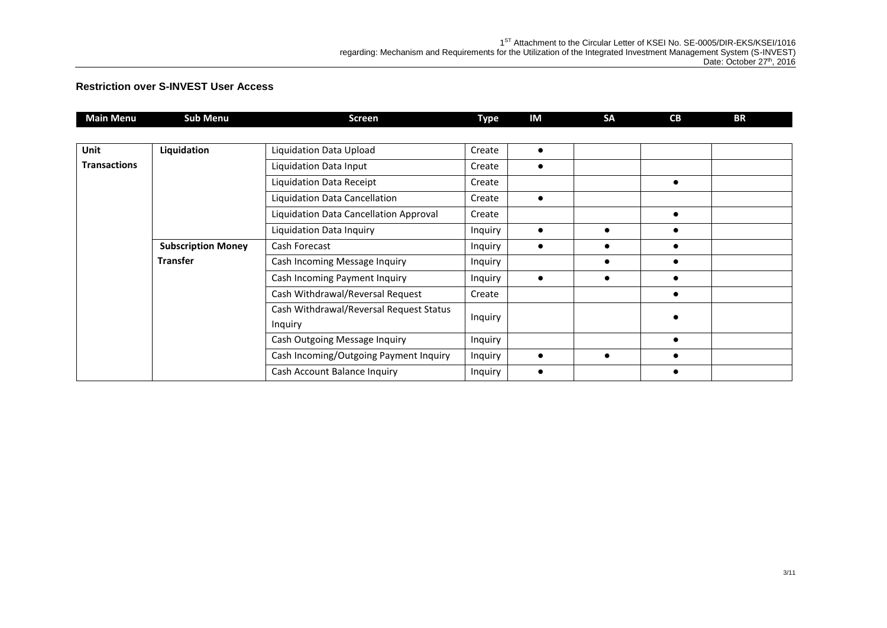| Main Menu           | <b>Sub Menu</b>           | <b>Screen</b>                           | Type    | IM        | <b>SA</b> | <b>CB</b>  | BR |
|---------------------|---------------------------|-----------------------------------------|---------|-----------|-----------|------------|----|
|                     |                           |                                         |         |           |           |            |    |
| Unit                | Liquidation               | Liquidation Data Upload                 | Create  | $\bullet$ |           |            |    |
| <b>Transactions</b> |                           | Liquidation Data Input                  | Create  | $\bullet$ |           |            |    |
|                     |                           | Liquidation Data Receipt                | Create  |           |           | $\bullet$  |    |
|                     |                           | Liquidation Data Cancellation           | Create  | $\bullet$ |           |            |    |
|                     |                           | Liquidation Data Cancellation Approval  | Create  |           |           | $\bullet$  |    |
|                     |                           | Liquidation Data Inquiry                | Inquiry | $\bullet$ | $\bullet$ | $\bullet$  |    |
|                     | <b>Subscription Money</b> | Cash Forecast                           | Inquiry | $\bullet$ | $\bullet$ | $\bullet$  |    |
|                     | <b>Transfer</b>           | Cash Incoming Message Inquiry           | Inquiry |           |           | $\epsilon$ |    |
|                     |                           | Cash Incoming Payment Inquiry           | Inquiry | $\bullet$ | $\bullet$ | $\bullet$  |    |
|                     |                           | Cash Withdrawal/Reversal Request        | Create  |           |           | $\bullet$  |    |
|                     |                           | Cash Withdrawal/Reversal Request Status | Inquiry |           |           |            |    |
|                     |                           | Inquiry                                 |         |           |           |            |    |
|                     |                           | Cash Outgoing Message Inquiry           | Inquiry |           |           | $\epsilon$ |    |
|                     |                           | Cash Incoming/Outgoing Payment Inquiry  | Inquiry | $\bullet$ | $\bullet$ |            |    |
|                     |                           | Cash Account Balance Inquiry            | Inquiry | $\bullet$ |           |            |    |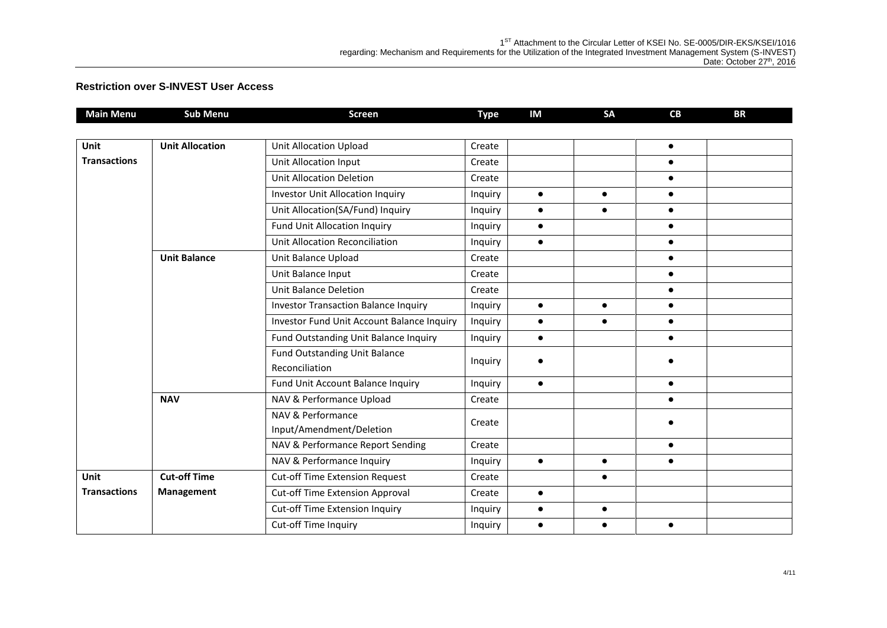| <b>Main Menu</b>    | <b>Sub Menu</b>        | <b>Screen</b>                               | <b>Type</b> | IM        | <b>SA</b> | CB        | <b>BR</b> |
|---------------------|------------------------|---------------------------------------------|-------------|-----------|-----------|-----------|-----------|
|                     |                        |                                             |             |           |           |           |           |
| Unit                | <b>Unit Allocation</b> | <b>Unit Allocation Upload</b>               | Create      |           |           | $\bullet$ |           |
| <b>Transactions</b> |                        | <b>Unit Allocation Input</b>                | Create      |           |           | $\bullet$ |           |
|                     |                        | Unit Allocation Deletion                    | Create      |           |           | $\bullet$ |           |
|                     |                        | <b>Investor Unit Allocation Inquiry</b>     | Inquiry     | $\bullet$ | $\bullet$ | $\bullet$ |           |
|                     |                        | Unit Allocation(SA/Fund) Inquiry            | Inquiry     | $\bullet$ | $\bullet$ | $\bullet$ |           |
|                     |                        | <b>Fund Unit Allocation Inquiry</b>         | Inquiry     | $\bullet$ |           | $\bullet$ |           |
|                     |                        | Unit Allocation Reconciliation              | Inquiry     | $\bullet$ |           | $\bullet$ |           |
|                     | <b>Unit Balance</b>    | Unit Balance Upload                         | Create      |           |           | $\bullet$ |           |
|                     |                        | Unit Balance Input                          | Create      |           |           | $\bullet$ |           |
|                     |                        | <b>Unit Balance Deletion</b>                | Create      |           |           | $\bullet$ |           |
|                     |                        | <b>Investor Transaction Balance Inquiry</b> | Inquiry     | $\bullet$ | $\bullet$ | $\bullet$ |           |
|                     |                        | Investor Fund Unit Account Balance Inquiry  | Inquiry     | $\bullet$ | $\bullet$ | $\bullet$ |           |
|                     |                        | Fund Outstanding Unit Balance Inquiry       | Inquiry     | $\bullet$ |           | $\bullet$ |           |
|                     |                        | <b>Fund Outstanding Unit Balance</b>        | Inquiry     |           |           |           |           |
|                     |                        | Reconciliation                              |             |           |           |           |           |
|                     |                        | Fund Unit Account Balance Inquiry           | Inquiry     | $\bullet$ |           | $\bullet$ |           |
|                     | <b>NAV</b>             | NAV & Performance Upload                    | Create      |           |           |           |           |
|                     |                        | NAV & Performance                           | Create      |           |           |           |           |
|                     |                        | Input/Amendment/Deletion                    |             |           |           |           |           |
|                     |                        | NAV & Performance Report Sending            | Create      |           |           | $\bullet$ |           |
|                     |                        | NAV & Performance Inquiry                   | Inquiry     | $\bullet$ | $\bullet$ | $\bullet$ |           |
| Unit                | <b>Cut-off Time</b>    | <b>Cut-off Time Extension Request</b>       | Create      |           | $\bullet$ |           |           |
| <b>Transactions</b> | Management             | <b>Cut-off Time Extension Approval</b>      | Create      | $\bullet$ |           |           |           |
|                     |                        | Cut-off Time Extension Inquiry              | Inquiry     | $\bullet$ | $\bullet$ |           |           |
|                     |                        | Cut-off Time Inquiry                        | Inquiry     | $\bullet$ | $\bullet$ | $\bullet$ |           |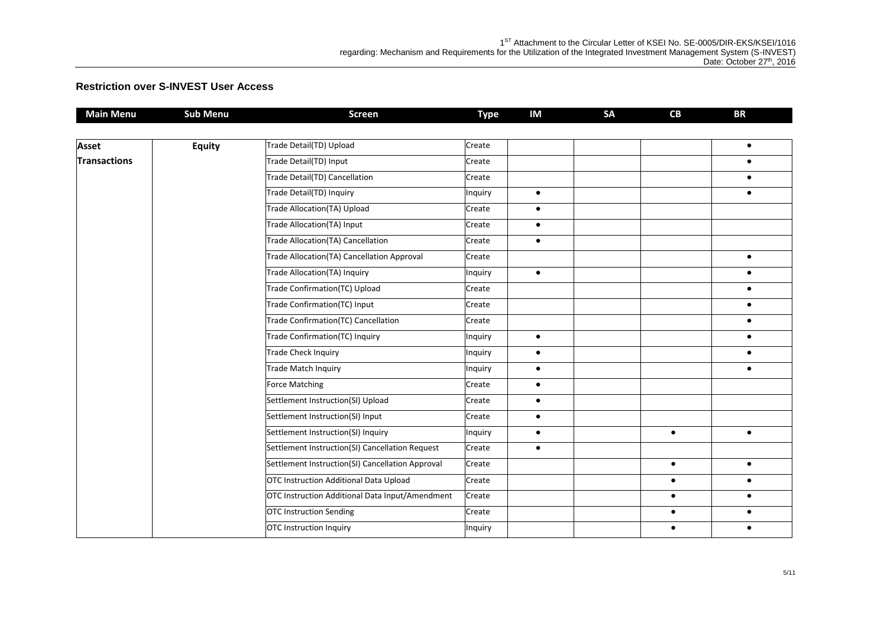| <b>Main Menu</b>    | <b>Sub Menu</b> | <b>Screen</b>                                    | <b>Type</b> | IM        | SA | CB        | <b>BR</b> |
|---------------------|-----------------|--------------------------------------------------|-------------|-----------|----|-----------|-----------|
|                     |                 |                                                  |             |           |    |           |           |
| <b>Asset</b>        | <b>Equity</b>   | Trade Detail(TD) Upload                          | Create      |           |    |           | $\bullet$ |
| <b>Transactions</b> |                 | Trade Detail(TD) Input                           | Create      |           |    |           | $\bullet$ |
|                     |                 | Trade Detail(TD) Cancellation                    | Create      |           |    |           | $\bullet$ |
|                     |                 | Trade Detail(TD) Inquiry                         | Inquiry     | $\bullet$ |    |           | $\bullet$ |
|                     |                 | Trade Allocation(TA) Upload                      | Create      | $\bullet$ |    |           |           |
|                     |                 | Trade Allocation(TA) Input                       | Create      | $\bullet$ |    |           |           |
|                     |                 | Trade Allocation(TA) Cancellation                | Create      | $\bullet$ |    |           |           |
|                     |                 | Trade Allocation(TA) Cancellation Approval       | Create      |           |    |           | $\bullet$ |
|                     |                 | Trade Allocation(TA) Inquiry                     | Inquiry     | $\bullet$ |    |           | $\bullet$ |
|                     |                 | Trade Confirmation(TC) Upload                    | Create      |           |    |           | $\bullet$ |
|                     |                 | Trade Confirmation(TC) Input                     | Create      |           |    |           | $\bullet$ |
|                     |                 | Trade Confirmation(TC) Cancellation              | Create      |           |    |           | $\bullet$ |
|                     |                 | Trade Confirmation(TC) Inquiry                   | Inquiry     | $\bullet$ |    |           | $\bullet$ |
|                     |                 | <b>Trade Check Inquiry</b>                       | Inquiry     | $\bullet$ |    |           | $\bullet$ |
|                     |                 | <b>Trade Match Inquiry</b>                       | Inquiry     | $\bullet$ |    |           | $\bullet$ |
|                     |                 | <b>Force Matching</b>                            | Create      | $\bullet$ |    |           |           |
|                     |                 | Settlement Instruction(SI) Upload                | Create      | $\bullet$ |    |           |           |
|                     |                 | Settlement Instruction(SI) Input                 | Create      | $\bullet$ |    |           |           |
|                     |                 | Settlement Instruction(SI) Inquiry               | Inquiry     | $\bullet$ |    | $\bullet$ | $\bullet$ |
|                     |                 | Settlement Instruction(SI) Cancellation Request  | Create      | $\bullet$ |    |           |           |
|                     |                 | Settlement Instruction(SI) Cancellation Approval | Create      |           |    | $\bullet$ | $\bullet$ |
|                     |                 | OTC Instruction Additional Data Upload           | Create      |           |    | $\bullet$ | $\bullet$ |
|                     |                 | OTC Instruction Additional Data Input/Amendment  | Create      |           |    | $\bullet$ | $\bullet$ |
|                     |                 | <b>OTC Instruction Sending</b>                   | Create      |           |    | $\bullet$ | $\bullet$ |
|                     |                 | <b>OTC</b> Instruction Inquiry                   | Inquiry     |           |    | $\bullet$ | $\bullet$ |
|                     |                 |                                                  |             |           |    |           |           |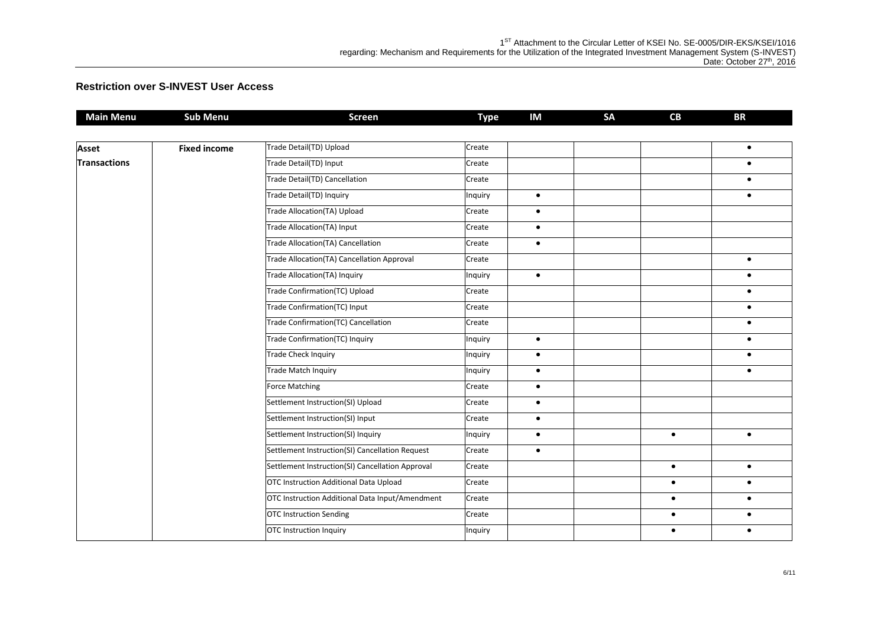| <b>Main Menu</b>    | <b>Sub Menu</b>     | <b>Screen</b>                                    | <b>Type</b> | IM        | <b>SA</b> | CB        | <b>BR</b> |
|---------------------|---------------------|--------------------------------------------------|-------------|-----------|-----------|-----------|-----------|
|                     |                     |                                                  |             |           |           |           |           |
| Asset               | <b>Fixed income</b> | Trade Detail(TD) Upload                          | Create      |           |           |           | $\bullet$ |
| <b>Transactions</b> |                     | Trade Detail(TD) Input                           | Create      |           |           |           | $\bullet$ |
|                     |                     | Trade Detail(TD) Cancellation                    | Create      |           |           |           | $\bullet$ |
|                     |                     | Trade Detail(TD) Inquiry                         | Inquiry     | $\bullet$ |           |           | $\bullet$ |
|                     |                     | Trade Allocation(TA) Upload                      | Create      | $\bullet$ |           |           |           |
|                     |                     | Trade Allocation(TA) Input                       | Create      | $\bullet$ |           |           |           |
|                     |                     | Trade Allocation(TA) Cancellation                | Create      | $\bullet$ |           |           |           |
|                     |                     | Trade Allocation(TA) Cancellation Approval       | Create      |           |           |           | $\bullet$ |
|                     |                     | Trade Allocation(TA) Inquiry                     | Inquiry     | $\bullet$ |           |           | $\bullet$ |
|                     |                     | Trade Confirmation(TC) Upload                    | Create      |           |           |           | $\bullet$ |
|                     |                     | Trade Confirmation(TC) Input                     | Create      |           |           |           | $\bullet$ |
|                     |                     | Trade Confirmation(TC) Cancellation              | Create      |           |           |           | $\bullet$ |
|                     |                     | Trade Confirmation(TC) Inquiry                   | Inquiry     | $\bullet$ |           |           | $\bullet$ |
|                     |                     | <b>Trade Check Inquiry</b>                       | Inquiry     | $\bullet$ |           |           | $\bullet$ |
|                     |                     | <b>Trade Match Inquiry</b>                       | Inquiry     | $\bullet$ |           |           | $\bullet$ |
|                     |                     | <b>Force Matching</b>                            | Create      | $\bullet$ |           |           |           |
|                     |                     | Settlement Instruction(SI) Upload                | Create      | $\bullet$ |           |           |           |
|                     |                     | Settlement Instruction(SI) Input                 | Create      | $\bullet$ |           |           |           |
|                     |                     | Settlement Instruction(SI) Inquiry               | Inquiry     | $\bullet$ |           | $\bullet$ | $\bullet$ |
|                     |                     | Settlement Instruction(SI) Cancellation Request  | Create      | $\bullet$ |           |           |           |
|                     |                     | Settlement Instruction(SI) Cancellation Approval | Create      |           |           | $\bullet$ | $\bullet$ |
|                     |                     | OTC Instruction Additional Data Upload           | Create      |           |           | $\bullet$ | $\bullet$ |
|                     |                     | OTC Instruction Additional Data Input/Amendment  | Create      |           |           | $\bullet$ | $\bullet$ |
|                     |                     | <b>OTC Instruction Sending</b>                   | Create      |           |           | $\bullet$ | $\bullet$ |
|                     |                     | <b>OTC</b> Instruction Inquiry                   | Inquiry     |           |           | $\bullet$ | $\bullet$ |
|                     |                     |                                                  |             |           |           |           |           |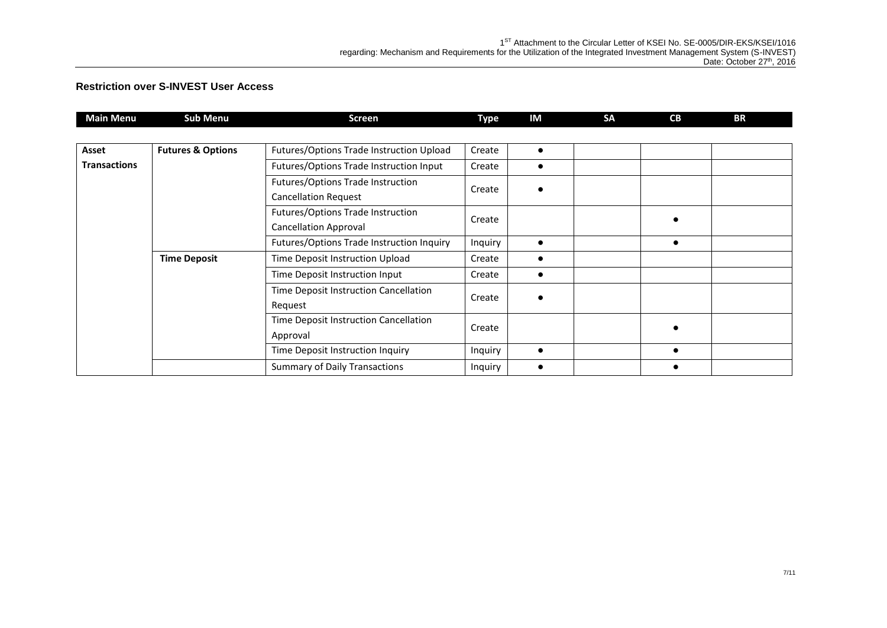| <b>Main Menu</b>    | <b>Sub Menu</b>              | <b>Screen</b>                                                     | Type    | IM        | <b>SA</b> | <b>CB</b> | BR |
|---------------------|------------------------------|-------------------------------------------------------------------|---------|-----------|-----------|-----------|----|
|                     |                              |                                                                   |         |           |           |           |    |
| Asset               | <b>Futures &amp; Options</b> | Futures/Options Trade Instruction Upload                          | Create  | $\bullet$ |           |           |    |
| <b>Transactions</b> |                              | Futures/Options Trade Instruction Input                           | Create  | $\bullet$ |           |           |    |
|                     |                              | Futures/Options Trade Instruction<br><b>Cancellation Request</b>  | Create  | $\bullet$ |           |           |    |
|                     |                              | Futures/Options Trade Instruction<br><b>Cancellation Approval</b> | Create  |           |           | $\bullet$ |    |
|                     |                              | Futures/Options Trade Instruction Inquiry                         | Inquiry | $\bullet$ |           | $\bullet$ |    |
|                     | <b>Time Deposit</b>          | Time Deposit Instruction Upload                                   | Create  | $\bullet$ |           |           |    |
|                     |                              | Time Deposit Instruction Input                                    | Create  | $\bullet$ |           |           |    |
|                     |                              | Time Deposit Instruction Cancellation<br>Request                  | Create  |           |           |           |    |
|                     |                              | Time Deposit Instruction Cancellation<br>Approval                 | Create  |           |           |           |    |
|                     |                              | Time Deposit Instruction Inquiry                                  | Inquiry | $\bullet$ |           |           |    |
|                     |                              | <b>Summary of Daily Transactions</b>                              | Inquiry | $\bullet$ |           |           |    |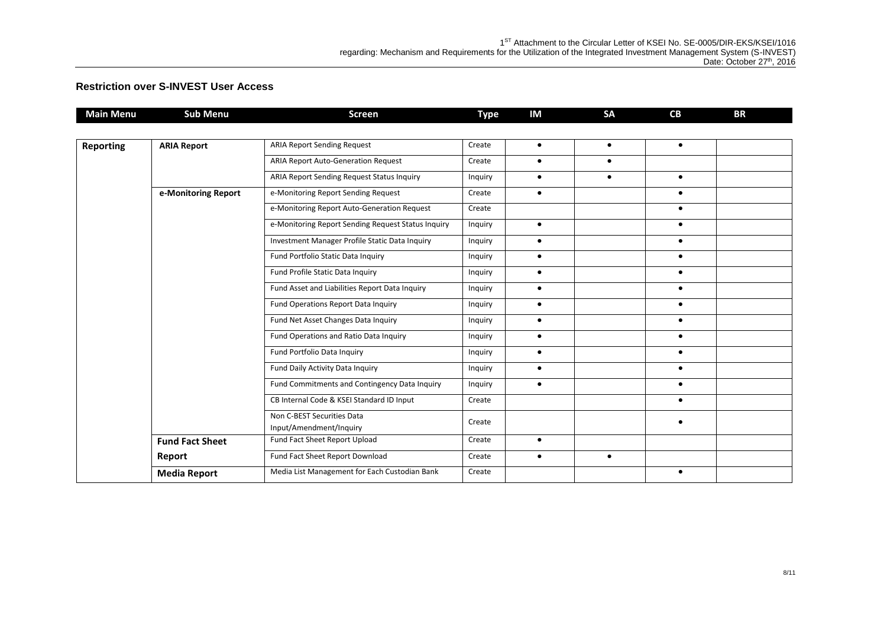| <b>Main Menu</b> | <b>Sub Menu</b>                  | Screen                                                | <b>Type</b> | IM        | SA        | CB        | <b>BR</b> |
|------------------|----------------------------------|-------------------------------------------------------|-------------|-----------|-----------|-----------|-----------|
|                  |                                  |                                                       |             |           |           |           |           |
| <b>Reporting</b> | <b>ARIA Report</b>               | <b>ARIA Report Sending Request</b>                    | Create      | $\bullet$ | $\bullet$ | $\bullet$ |           |
|                  |                                  | <b>ARIA Report Auto-Generation Request</b>            | Create      | $\bullet$ | $\bullet$ |           |           |
|                  |                                  | ARIA Report Sending Request Status Inquiry            | Inquiry     | $\bullet$ | $\bullet$ | $\bullet$ |           |
|                  | e-Monitoring Report              | e-Monitoring Report Sending Request                   | Create      | $\bullet$ |           | $\bullet$ |           |
|                  |                                  | e-Monitoring Report Auto-Generation Request           | Create      |           |           | $\bullet$ |           |
|                  |                                  | e-Monitoring Report Sending Request Status Inquiry    | Inquiry     | $\bullet$ |           | $\bullet$ |           |
|                  |                                  | Investment Manager Profile Static Data Inquiry        | Inquiry     | $\bullet$ |           | $\bullet$ |           |
|                  |                                  | Fund Portfolio Static Data Inquiry                    | Inquiry     | $\bullet$ |           | $\bullet$ |           |
|                  | Fund Profile Static Data Inquiry | Inquiry                                               | $\bullet$   |           | $\bullet$ |           |           |
|                  |                                  | Fund Asset and Liabilities Report Data Inquiry        | Inquiry     | $\bullet$ |           | $\bullet$ |           |
|                  |                                  | Fund Operations Report Data Inquiry                   | Inquiry     | $\bullet$ |           | $\bullet$ |           |
|                  |                                  | Fund Net Asset Changes Data Inquiry                   | Inquiry     | $\bullet$ |           | $\bullet$ |           |
|                  |                                  | Fund Operations and Ratio Data Inquiry                | Inquiry     | $\bullet$ |           | $\bullet$ |           |
|                  |                                  | Fund Portfolio Data Inquiry                           | Inquiry     | $\bullet$ |           | $\bullet$ |           |
|                  |                                  | Fund Daily Activity Data Inquiry                      | Inquiry     | $\bullet$ |           | $\bullet$ |           |
|                  |                                  | Fund Commitments and Contingency Data Inquiry         | Inquiry     | $\bullet$ |           | $\bullet$ |           |
|                  |                                  | CB Internal Code & KSEI Standard ID Input             | Create      |           |           | $\bullet$ |           |
|                  |                                  | Non C-BEST Securities Data<br>Input/Amendment/Inquiry | Create      |           |           | ٠         |           |
|                  |                                  | Fund Fact Sheet Report Upload                         | Create      | $\bullet$ |           |           |           |
|                  | <b>Fund Fact Sheet</b>           |                                                       |             |           |           |           |           |
|                  | Report                           | Fund Fact Sheet Report Download                       | Create      | $\bullet$ | $\bullet$ |           |           |
|                  | <b>Media Report</b>              | Media List Management for Each Custodian Bank         | Create      |           |           | $\bullet$ |           |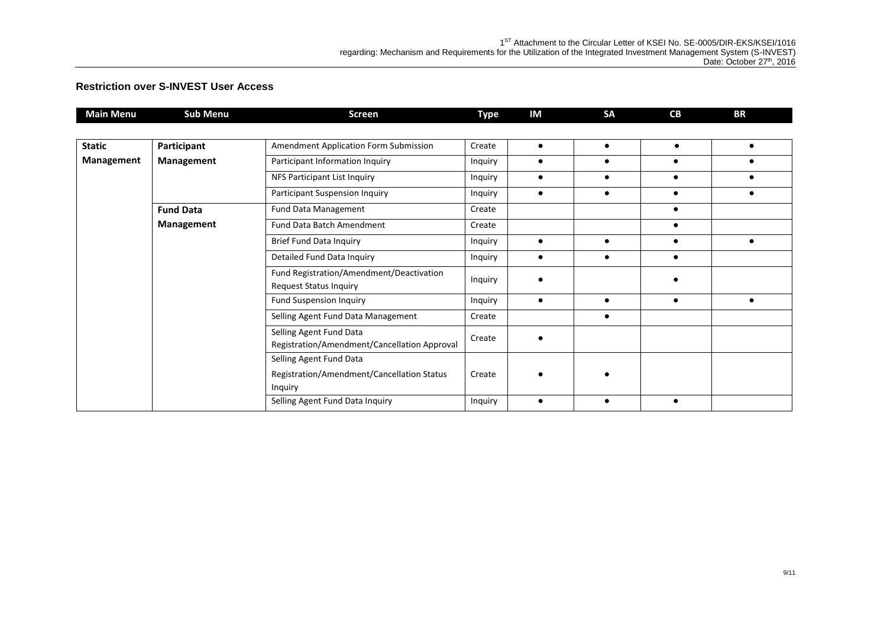| <b>Main Menu</b> | <b>Sub Menu</b>   | <b>Screen</b>                                          | <b>Type</b> | IM        | <b>SA</b> | CB         | <b>BR</b>  |
|------------------|-------------------|--------------------------------------------------------|-------------|-----------|-----------|------------|------------|
|                  |                   |                                                        |             |           |           |            |            |
| <b>Static</b>    | Participant       | Amendment Application Form Submission                  | Create      | $\bullet$ | $\bullet$ | $\bullet$  | $\bullet$  |
| Management       | <b>Management</b> | Participant Information Inquiry                        | Inquiry     | $\bullet$ |           | $\bullet$  | $\epsilon$ |
|                  |                   | NFS Participant List Inquiry                           | Inquiry     | $\bullet$ |           | $\bullet$  | $\epsilon$ |
|                  |                   | Participant Suspension Inquiry<br>Inquiry<br>$\bullet$ |             |           |           | $\epsilon$ |            |
|                  | <b>Fund Data</b>  | Fund Data Management                                   | Create      |           |           |            |            |
|                  | Management        | Fund Data Batch Amendment                              | Create      |           |           | $\bullet$  |            |
|                  |                   | Brief Fund Data Inquiry                                | Inquiry     | $\bullet$ |           | $\bullet$  | $\bullet$  |
|                  |                   | Detailed Fund Data Inquiry                             | Inquiry     | $\bullet$ |           | $\bullet$  |            |
|                  |                   | Fund Registration/Amendment/Deactivation               |             |           |           |            |            |
|                  |                   | <b>Request Status Inquiry</b>                          | Inquiry     |           |           |            |            |
|                  |                   | <b>Fund Suspension Inquiry</b>                         | Inquiry     | $\bullet$ | $\bullet$ | $\bullet$  | $\bullet$  |
|                  |                   | Selling Agent Fund Data Management                     | Create      |           | $\bullet$ |            |            |
|                  |                   | Selling Agent Fund Data                                | Create      |           |           |            |            |
|                  |                   | Registration/Amendment/Cancellation Approval           |             |           |           |            |            |
|                  |                   | Selling Agent Fund Data                                |             |           |           |            |            |
|                  |                   | Registration/Amendment/Cancellation Status             | Create      |           |           |            |            |
|                  |                   | <b>Inquiry</b>                                         |             |           |           |            |            |
|                  |                   | Selling Agent Fund Data Inquiry                        | Inquiry     | $\bullet$ |           | $\bullet$  |            |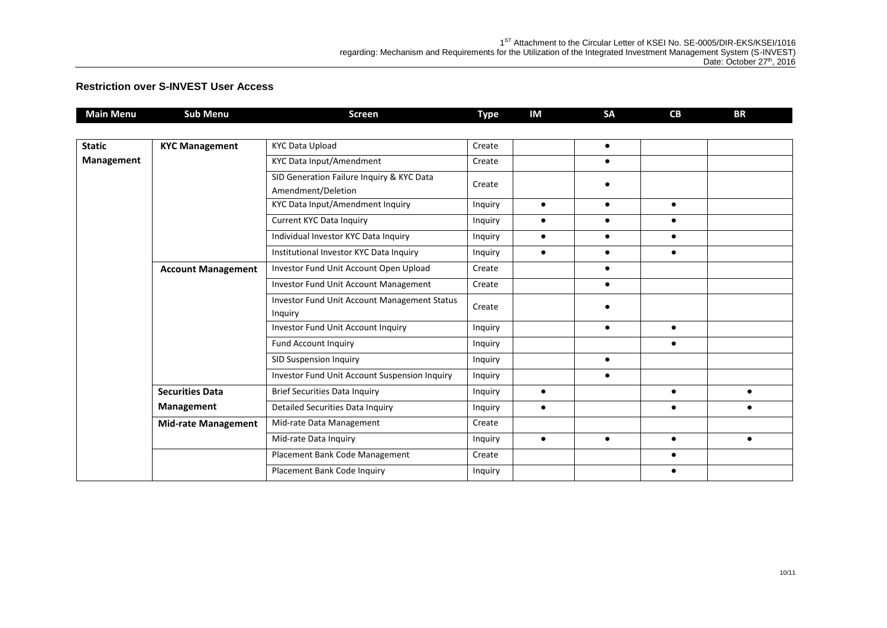| <b>Main Menu</b> | <b>Sub Menu</b>            | <b>Screen</b>                                                   | <b>Type</b> | IM        | <b>SA</b> | CB        | <b>BR</b> |
|------------------|----------------------------|-----------------------------------------------------------------|-------------|-----------|-----------|-----------|-----------|
|                  |                            |                                                                 |             |           |           |           |           |
| <b>Static</b>    | <b>KYC Management</b>      | <b>KYC Data Upload</b>                                          | Create      |           | $\bullet$ |           |           |
| Management       |                            | KYC Data Input/Amendment                                        | Create      |           | $\bullet$ |           |           |
|                  |                            | SID Generation Failure Inquiry & KYC Data<br>Amendment/Deletion | Create      |           | ٠         |           |           |
|                  |                            | KYC Data Input/Amendment Inquiry                                | Inquiry     | $\bullet$ | $\bullet$ | $\bullet$ |           |
|                  |                            | Current KYC Data Inquiry                                        | Inquiry     | $\bullet$ | $\bullet$ | $\bullet$ |           |
|                  |                            | Individual Investor KYC Data Inquiry                            | Inquiry     | $\bullet$ | $\bullet$ | $\bullet$ |           |
|                  |                            | Institutional Investor KYC Data Inquiry                         | Inquiry     | $\bullet$ | $\bullet$ | $\bullet$ |           |
|                  | <b>Account Management</b>  | Investor Fund Unit Account Open Upload                          | Create      |           | $\bullet$ |           |           |
|                  |                            | Investor Fund Unit Account Management                           | Create      |           | $\bullet$ |           |           |
|                  |                            | Investor Fund Unit Account Management Status<br>Inquiry         | Create      |           |           |           |           |
|                  |                            | Investor Fund Unit Account Inquiry                              | Inquiry     |           | $\bullet$ | $\bullet$ |           |
|                  |                            | Fund Account Inquiry                                            | Inquiry     |           |           | $\bullet$ |           |
|                  |                            | SID Suspension Inquiry                                          | Inquiry     |           | $\bullet$ |           |           |
|                  |                            | Investor Fund Unit Account Suspension Inquiry                   | Inquiry     |           | $\bullet$ |           |           |
|                  | <b>Securities Data</b>     | <b>Brief Securities Data Inquiry</b>                            | Inquiry     | $\bullet$ |           | $\bullet$ | $\bullet$ |
|                  | Management                 | Detailed Securities Data Inquiry                                | Inquiry     | $\bullet$ |           | $\bullet$ | $\bullet$ |
|                  | <b>Mid-rate Management</b> | Mid-rate Data Management                                        | Create      |           |           |           |           |
|                  |                            | Mid-rate Data Inquiry                                           | Inquiry     | $\bullet$ | $\bullet$ | $\bullet$ | $\bullet$ |
|                  |                            | Placement Bank Code Management                                  | Create      |           |           | $\bullet$ |           |
|                  |                            | Placement Bank Code Inquiry                                     | Inquiry     |           |           |           |           |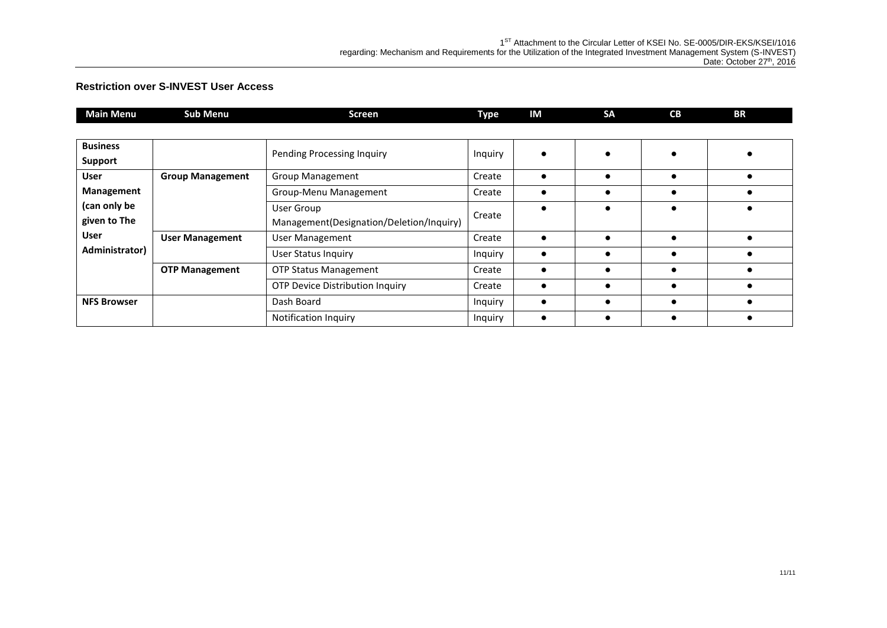| <b>Main Menu</b>   | <b>Sub Menu</b>         | <b>Screen</b>                            | <b>Type</b> | IM        | <b>SA</b> | CB | <b>BR</b> |
|--------------------|-------------------------|------------------------------------------|-------------|-----------|-----------|----|-----------|
|                    |                         |                                          |             |           |           |    |           |
| <b>Business</b>    |                         | Pending Processing Inquiry               | Inquiry     |           |           |    |           |
| Support            |                         |                                          |             |           |           |    |           |
| <b>User</b>        | <b>Group Management</b> | Group Management                         | Create      | $\bullet$ |           |    |           |
| Management         |                         | Group-Menu Management                    | Create      |           |           |    |           |
| (can only be       |                         | User Group                               | Create      | $\bullet$ |           |    |           |
| given to The       |                         | Management(Designation/Deletion/Inquiry) |             |           |           |    |           |
| <b>User</b>        | <b>User Management</b>  | <b>User Management</b>                   | Create      |           |           |    |           |
| Administrator)     |                         | <b>User Status Inquiry</b>               | Inquiry     | $\bullet$ |           |    |           |
|                    | <b>OTP Management</b>   | <b>OTP Status Management</b>             | Create      | $\bullet$ |           |    |           |
|                    |                         | <b>OTP Device Distribution Inquiry</b>   | Create      |           |           |    |           |
| <b>NFS Browser</b> |                         | Dash Board                               | Inquiry     | $\bullet$ |           |    |           |
|                    |                         | Notification Inquiry                     | Inquiry     |           |           |    |           |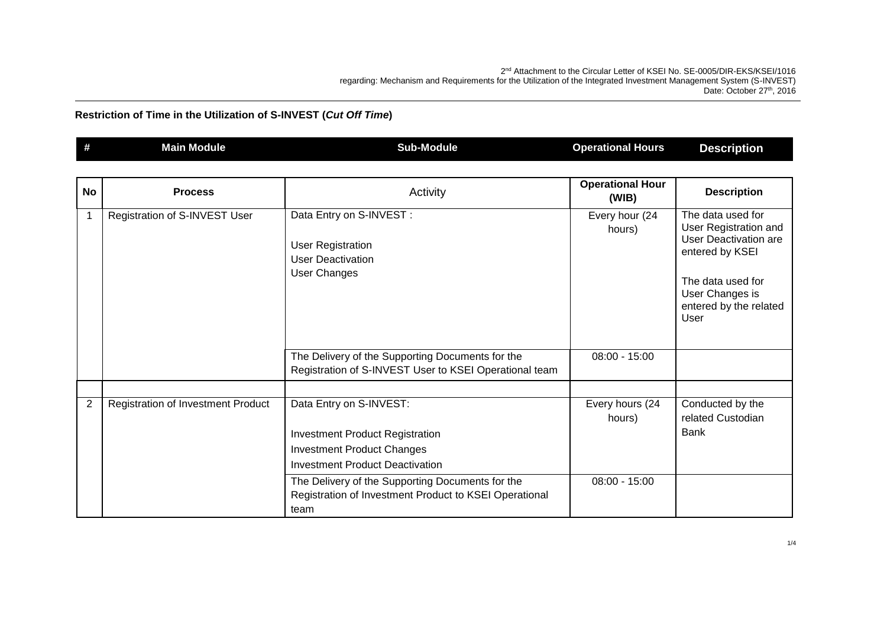2 nd Attachment to the Circular Letter of KSEI No. SE-0005/DIR-EKS/KSEI/1016 regarding: Mechanism and Requirements for the Utilization of the Integrated Investment Management System (S-INVEST) Date: October 27<sup>th</sup>, 2016

| # | 'Main Module, | Sub-Module | Hours<br>Operational I | . .<br><b>Pescription</b><br>∸∗ |
|---|---------------|------------|------------------------|---------------------------------|
|---|---------------|------------|------------------------|---------------------------------|

| <b>No</b> | <b>Process</b>                            | Activity                                                                                                                                                                                             | <b>Operational Hour</b><br>(WIB)             | <b>Description</b>                                                                                                                                                      |
|-----------|-------------------------------------------|------------------------------------------------------------------------------------------------------------------------------------------------------------------------------------------------------|----------------------------------------------|-------------------------------------------------------------------------------------------------------------------------------------------------------------------------|
|           | Registration of S-INVEST User             | Data Entry on S-INVEST :<br><b>User Registration</b><br><b>User Deactivation</b><br>User Changes                                                                                                     | Every hour (24<br>hours)                     | The data used for<br>User Registration and<br><b>User Deactivation are</b><br>entered by KSEI<br>The data used for<br>User Changes is<br>entered by the related<br>User |
|           |                                           | The Delivery of the Supporting Documents for the<br>Registration of S-INVEST User to KSEI Operational team                                                                                           | $08:00 - 15:00$                              |                                                                                                                                                                         |
| 2         | <b>Registration of Investment Product</b> | Data Entry on S-INVEST:<br><b>Investment Product Registration</b><br><b>Investment Product Changes</b><br><b>Investment Product Deactivation</b><br>The Delivery of the Supporting Documents for the | Every hours (24<br>hours)<br>$08:00 - 15:00$ | Conducted by the<br>related Custodian<br><b>Bank</b>                                                                                                                    |
|           |                                           | Registration of Investment Product to KSEI Operational<br>team                                                                                                                                       |                                              |                                                                                                                                                                         |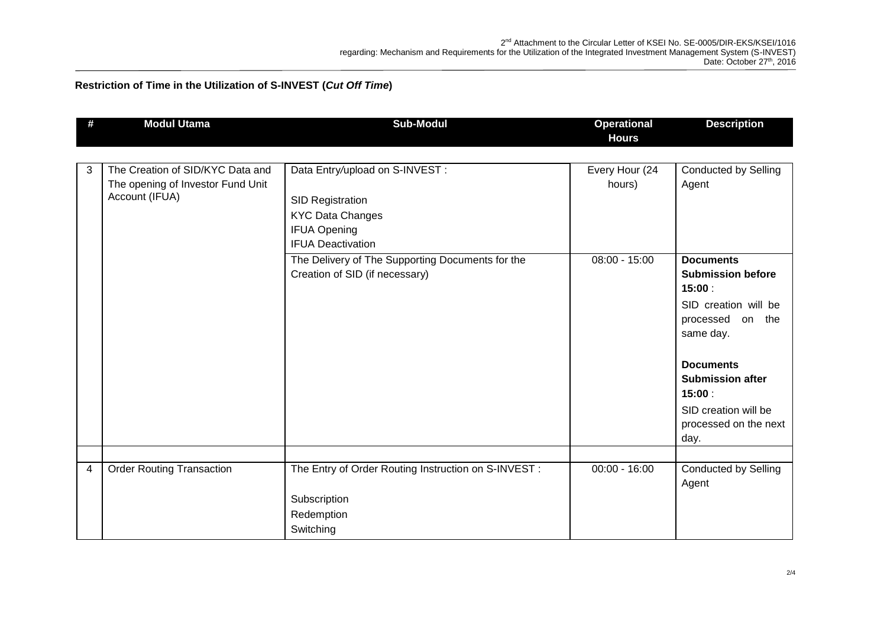| # | <b>Modul Utama</b>                                  | <b>Sub-Modul</b>                                     | <b>Operational</b><br><b>Hours</b> | <b>Description</b>                       |
|---|-----------------------------------------------------|------------------------------------------------------|------------------------------------|------------------------------------------|
|   |                                                     |                                                      |                                    |                                          |
| 3 | The Creation of SID/KYC Data and                    | Data Entry/upload on S-INVEST :                      | Every Hour (24                     | <b>Conducted by Selling</b>              |
|   | The opening of Investor Fund Unit<br>Account (IFUA) |                                                      | hours)                             | Agent                                    |
|   |                                                     | <b>SID Registration</b>                              |                                    |                                          |
|   |                                                     | <b>KYC Data Changes</b>                              |                                    |                                          |
|   |                                                     | <b>IFUA Opening</b>                                  |                                    |                                          |
|   |                                                     | <b>IFUA Deactivation</b>                             |                                    |                                          |
|   |                                                     | The Delivery of The Supporting Documents for the     | $08:00 - 15:00$                    | <b>Documents</b>                         |
|   |                                                     | Creation of SID (if necessary)                       |                                    | <b>Submission before</b><br>15:00:       |
|   |                                                     |                                                      |                                    | SID creation will be<br>processed on the |
|   |                                                     |                                                      |                                    | same day.                                |
|   |                                                     |                                                      |                                    | <b>Documents</b>                         |
|   |                                                     |                                                      |                                    | <b>Submission after</b>                  |
|   |                                                     |                                                      |                                    | 15:00:                                   |
|   |                                                     |                                                      |                                    | SID creation will be                     |
|   |                                                     |                                                      |                                    | processed on the next                    |
|   |                                                     |                                                      |                                    | day.                                     |
|   |                                                     |                                                      |                                    |                                          |
| 4 | <b>Order Routing Transaction</b>                    | The Entry of Order Routing Instruction on S-INVEST : | $00:00 - 16:00$                    | <b>Conducted by Selling</b><br>Agent     |
|   |                                                     | Subscription                                         |                                    |                                          |
|   |                                                     | Redemption                                           |                                    |                                          |
|   |                                                     | Switching                                            |                                    |                                          |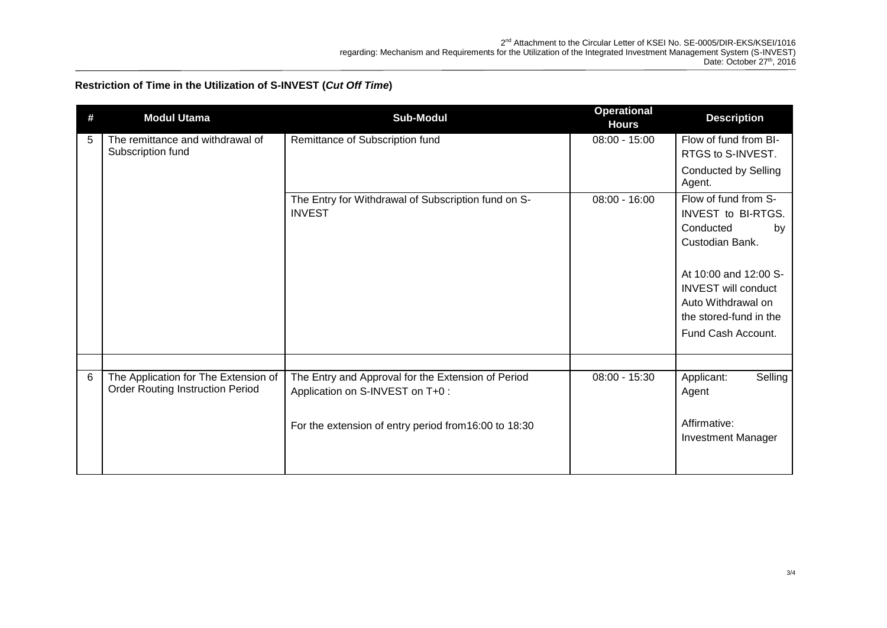| # | <b>Modul Utama</b>                                                              | <b>Sub-Modul</b>                                                     | <b>Operational</b><br><b>Hours</b> | <b>Description</b>                                  |
|---|---------------------------------------------------------------------------------|----------------------------------------------------------------------|------------------------------------|-----------------------------------------------------|
| 5 | The remittance and withdrawal of<br>Subscription fund                           | Remittance of Subscription fund                                      | $08:00 - 15:00$                    | Flow of fund from BI-                               |
|   |                                                                                 |                                                                      |                                    | RTGS to S-INVEST.<br><b>Conducted by Selling</b>    |
|   |                                                                                 |                                                                      |                                    | Agent.                                              |
|   |                                                                                 | The Entry for Withdrawal of Subscription fund on S-<br><b>INVEST</b> | $08:00 - 16:00$                    | Flow of fund from S-                                |
|   |                                                                                 |                                                                      |                                    | INVEST to BI-RTGS.<br>Conducted<br>by               |
|   |                                                                                 |                                                                      |                                    | Custodian Bank.                                     |
|   |                                                                                 |                                                                      |                                    |                                                     |
|   |                                                                                 |                                                                      |                                    | At 10:00 and 12:00 S-<br><b>INVEST will conduct</b> |
|   |                                                                                 |                                                                      |                                    | Auto Withdrawal on                                  |
|   |                                                                                 |                                                                      |                                    | the stored-fund in the                              |
|   |                                                                                 |                                                                      |                                    | Fund Cash Account.                                  |
|   |                                                                                 |                                                                      |                                    |                                                     |
| 6 | The Application for The Extension of<br><b>Order Routing Instruction Period</b> | The Entry and Approval for the Extension of Period                   | $08:00 - 15:30$                    | Applicant:<br>Selling                               |
|   |                                                                                 | Application on S-INVEST on T+0 :                                     |                                    | Agent                                               |
|   |                                                                                 | For the extension of entry period from 16:00 to 18:30                |                                    | Affirmative:                                        |
|   |                                                                                 |                                                                      |                                    | <b>Investment Manager</b>                           |
|   |                                                                                 |                                                                      |                                    |                                                     |
|   |                                                                                 |                                                                      |                                    |                                                     |